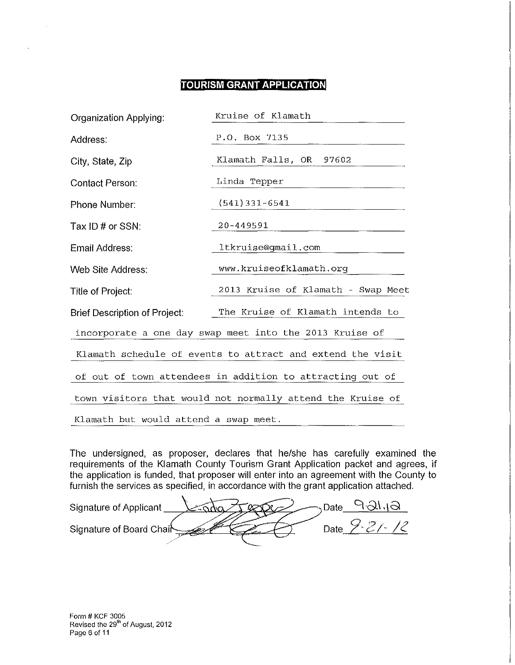# **TOURISM GRANT APPLICATION**

| <b>Organization Applying:</b>                              | Kruise of Klamath                                       |  |  |  |  |
|------------------------------------------------------------|---------------------------------------------------------|--|--|--|--|
| Address:                                                   | P.O. Box 7135                                           |  |  |  |  |
| City, State, Zip                                           | Klamath Falls, OR<br>97602                              |  |  |  |  |
| <b>Contact Person:</b>                                     | Linda Tepper                                            |  |  |  |  |
| Phone Number:                                              | $(541)$ 331-6541                                        |  |  |  |  |
| Tax ID # or SSN:                                           | 20-449591                                               |  |  |  |  |
| Email Address:                                             | ltkruise@gmail.com                                      |  |  |  |  |
| Web Site Address:                                          | www.kruiseofklamath.org                                 |  |  |  |  |
| Title of Project:                                          | 2013 Kruise of Klamath - Swap Meet                      |  |  |  |  |
| Brief Description of Project:                              | The Kruise of Klamath intends to                        |  |  |  |  |
|                                                            | incorporate a one day swap meet into the 2013 Kruise of |  |  |  |  |
| Klamath schedule of events to attract and extend the visit |                                                         |  |  |  |  |
| of out of town attendees in addition to attracting out of  |                                                         |  |  |  |  |
| town visitors that would not normally attend the Kruise of |                                                         |  |  |  |  |
| Klamath but would attend a swap meet.                      |                                                         |  |  |  |  |

The undersigned, as proposer, declares that he/she has carefully examined the rice distortighted, as proposer, assumed that herone has sacridity examined the requirements of the Klamath County Tourism Grant Application packet and agrees, if the application is funded, that proposer will enter into an the application is funded, that proposer will enter into an agreement with the County to furnish the services as specified, in accordance with the grant application attached.

Signature of Applicant <u>Cando Texas Date 9 21.1 2</u><br>Signature of Board Chair

Form # KCF 3005 Revised the 29<sup>th</sup> of August, 2012 Page 6 of 11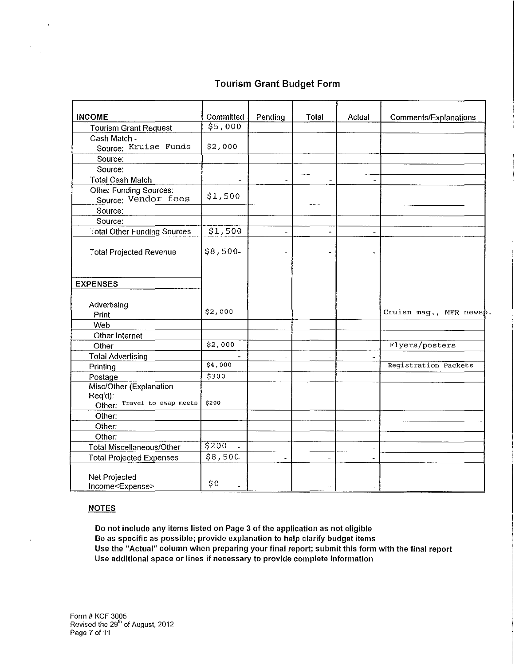## Tourism Grant Budget Form

| <b>INCOME</b>                                                     | Committed              | Pending                      | Total          | Actual                       | Comments/Explanations  |
|-------------------------------------------------------------------|------------------------|------------------------------|----------------|------------------------------|------------------------|
| <b>Tourism Grant Request</b>                                      | \$5,000                |                              |                |                              |                        |
| Cash Match -                                                      |                        |                              |                |                              |                        |
| Source: Kruise Funds                                              | \$2,000                |                              |                |                              |                        |
| Source:                                                           |                        |                              |                |                              |                        |
| Source:                                                           |                        |                              |                |                              |                        |
| <b>Total Cash Match</b>                                           | $\blacksquare$         |                              |                | $\overline{a}$               |                        |
| <b>Other Funding Sources:</b><br>Source: Vendor fees              | \$1,500                |                              |                |                              |                        |
| Source:                                                           |                        |                              |                |                              |                        |
| Source:                                                           |                        |                              |                |                              |                        |
| <b>Total Other Funding Sources</b>                                | \$1,500                | L,                           | w.             |                              |                        |
| <b>Total Projected Revenue</b>                                    | \$8,500                |                              |                |                              |                        |
| <b>EXPENSES</b>                                                   |                        |                              |                |                              |                        |
|                                                                   |                        |                              |                |                              |                        |
| Advertising                                                       |                        |                              |                |                              |                        |
| Print                                                             | \$2,000                |                              |                |                              | Cruisn mag., MFR newsp |
| Web                                                               |                        |                              |                |                              |                        |
| Other Internet                                                    |                        |                              |                |                              |                        |
| Other                                                             | \$2,000                |                              |                |                              | Flyers/posters         |
| <b>Total Advertising</b>                                          |                        | $\overline{\phantom{a}}$     | $\blacksquare$ | $\blacksquare$               |                        |
| Printing                                                          | \$4,000                |                              |                |                              | Registration Packets   |
| Postage                                                           | \$300                  |                              |                |                              |                        |
| Misc/Other (Explanation<br>Req'd):<br>Other: Travel to swap meets | \$200                  |                              |                |                              |                        |
| Other:                                                            |                        |                              |                |                              |                        |
| Other:                                                            |                        |                              |                |                              |                        |
| Other:                                                            |                        |                              |                |                              |                        |
| <b>Total Miscellaneous/Other</b>                                  | 5200<br>$\overline{a}$ | $\qquad \qquad \blacksquare$ | $\frac{1}{2}$  | $\overline{\phantom{a}}$     |                        |
| <b>Total Projected Expenses</b>                                   | \$8,500                | ä,                           | $\blacksquare$ | $\qquad \qquad \blacksquare$ |                        |
| Net Projected<br>Income <expense></expense>                       | \$0                    |                              |                |                              |                        |

#### **NOTES**

Do not include any items listed on Page 3 of the application as not eligible Be as specific as possible; provide explanation to help clarify budget items Use the "Actual" column when preparing your final report; submit this form with the final report Use additional space or lines if necessary to provide complete information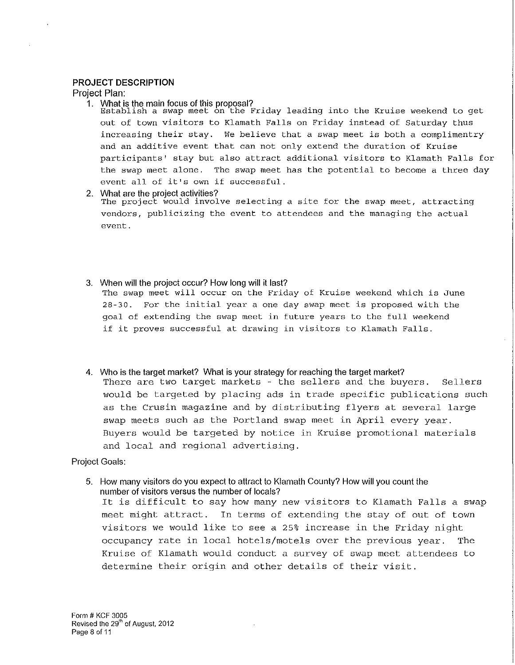#### **PROJECT DESCRIPTION**

Project Plan:

1. What is the main focus of this proposal?<br>Establish a swap meet on the Friday leading into the Kruise weekend to get out of town visitors to Klamath Falls on Friday instead of Saturday thus **increasing their stay. We believe that a swap meet is both a complimentry and an additive event that can not only extend the duration of Kruise**  participants' stay but also attract additional visitors to Klamath Falls for **the swap meet alone. The swap meet has the potential to become a three day event all of it's own if successful.** 

2. What are the project activities?

**The project would involve selecting a site for the swap meet, attracting vendors, publicizing the event to attendees and the managing the actual event.** 

3. When will the project occur? How long will it last?

**The swap meet will occur on the Friday of Kruise weekend which is June 28-30. For the initial year a one day swap meet is proposed with the goal of extending the swap meet in future years to the full weekend if it proves successful at drawing in visitors to Klamath Falls.** 

4. Who is the target market? What is your strategy for reaching the target market? There are two target markets - the sellers and the buyers. Sellers would be targeted by placing ads in trade specific publications such as the Crusin magazine and by distributing flyers at several large swap meets such as the Portland swap meet in April every year. Buyers would be targeted by notice in Kruise promotional materials and local and regional advertising.

## Project Goals:

5. How many visitors do you expect to attract to Klamath County? How will you count the number of visitors versus the number of locals? It is difficult to say how many new visitors to Klamath Falls a swap meet might attract. In terms of extending the stay of out of town visitors we would like to see a 25% increase in the Friday night occupancy rate in local hotels/motels over the previous year. The Kruise of Klamath would conduct a survey of swap meet attendees to determine their origin and other details of their visit.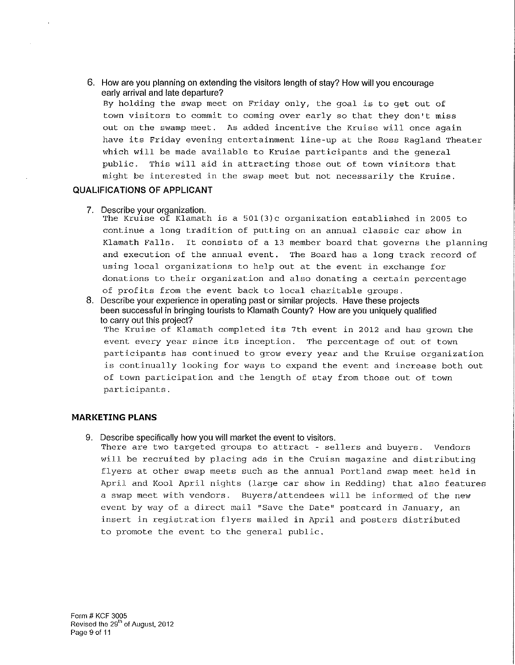6. How are you planning on extending the visitors length of stay? How will you encourage early arrival and late departure? By holding the swap meet on Friday only, the goal is to get out of town visitors to commit to coming over early so that they don't miss out on the swamp meet. As added incentive the Kruise will once again have its Friday evening entertainment line-up at the Ross Ragland Theater which will be made available to Kruise participants and the general public. This will aid in attracting those out of town visitors that might be interested in the swap meet but not necessarily the Kruise.

## QUALIFICATIONS OF APPLICANT

7. Describe your organization.

The Kruise of Klamath is a 501(3)c organization established in 2005 to continue a long tradition of putting on an annual classic car show in Klamath Falls. It consists of a 13 member board that governs the planning and execution of the annual event. The Board has a long track record of using local organizations to help out at the event in exchange for donations to their organization and also donating a certain percentage of profits from the event back to local charitable groups.

8. Describe your experience in operating past or similar projects. Have these projects been successful in bringing tourists to Klamath County? How are you uniquely qualified to carry out this project?

The Kruise of Klamath completed its 7th event in 2012 and has grown the event every year since its inception. The percentage of out of town participants has continued to grow every year and the Kruise organization is continually looking for ways to expand the event and increase both out of town participation and the length of stay from those out of town participants.

## MARKETING PLANS

9. Describe specifically how you will market the event to visitors.

There are two targeted groups to attract - sellers and buyers. Vendors will be recruited by placing ads in the Cruisn magazine and distributing flyers at other swap meets such as the annual Portland swap meet held in April and Kool April nights (large car show in Redding) that also features a swap meet with vendors. Buyers/attendees will be informed of the new event by way of a direct mail "Save the Date" postcard in January, an insert in registration flyers mailed in April and posters distributed to promote the event to the general public.